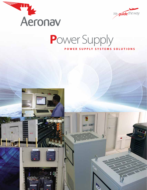



## **POWER SUPPLY SYSTEMS SOLUTIONS**